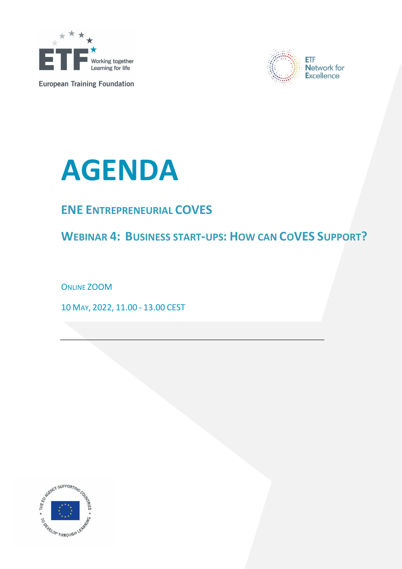

**European Training Foundation** 





## **ENE ENTREPRENEURIAL COVES**

**WEBINAR 4: BUSINESS START-UPS: HOW CAN COVES SUPPORT?**

ONLINE ZOOM

10 MAY, 2022, 11.00 - 13.00 CEST

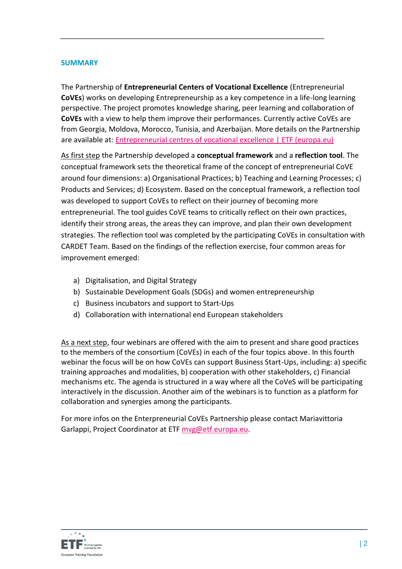## **SUMMARY**

The Partnership of **Entrepreneurial Centers of Vocational Excellence** (Entrepreneurial **CoVEs**) works on developing Entrepreneurship as a key competence in a life-long learning perspective. The project promotes knowledge sharing, peer learning and collaboration of **CoVEs** with a view to help them improve their performances. Currently active CoVEs are from Georgia, Moldova, Morocco, Tunisia, and Azerbaijan. More details on the Partnership are available at: [Entrepreneurial centres of vocational excellence | ETF \(europa.eu\)](https://www.etf.europa.eu/en/projects-campaigns/activities/entrepreneurial-centres-vocational-excellence)

As first step the Partnership developed a **conceptual framework** and a **reflection tool**. The conceptual framework sets the theoretical frame of the concept of entrepreneurial CoVE around four dimensions: a) Organisational Practices; b) Teaching and Learning Processes; c) Products and Services; d) Ecosystem. Based on the conceptual framework, a reflection tool was developed to support CoVEs to reflect on their journey of becoming more entrepreneurial. The tool guides CoVE teams to critically reflect on their own practices, identify their strong areas, the areas they can improve, and plan their own development strategies. The reflection tool was completed by the participating CoVEs in consultation with CARDET Team. Based on the findings of the reflection exercise, four common areas for improvement emerged:

- a) Digitalisation, and Digital Strategy
- b) Sustainable Development Goals (SDGs) and women entrepreneurship
- c) Business incubators and support to Start-Ups
- d) Collaboration with international end European stakeholders

As a next step, four webinars are offered with the aim to present and share good practices to the members of the consortium (CoVEs) in each of the four topics above. In this fourth webinar the focus will be on how CoVEs can support Business Start-Ups, including: a) specific training approaches and modalities, b) cooperation with other stakeholders, c) Financial mechanisms etc. The agenda is structured in a way where all the CoVeS will be participating interactively in the discussion. Another aim of the webinars is to function as a platform for collaboration and synergies among the participants.

For more infos on the Enterpreneurial CoVEs Partnership please contact Mariavittoria Garlappi, Project Coordinator at ETF [mvg@etf.europa.eu.](mailto:mvg@etf.europa.eu)

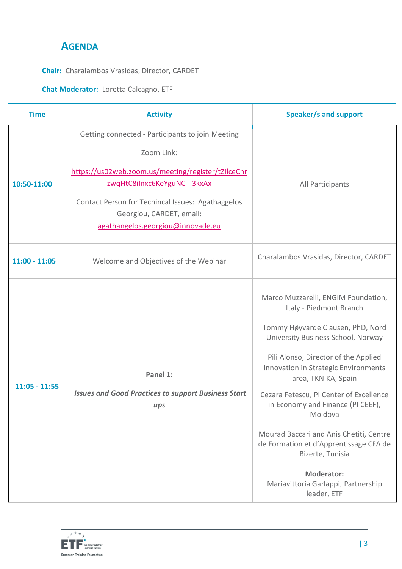## **AGENDA**

**Chair:** Charalambos Vrasidas, Director, CARDET

## **Chat Moderator:** Loretta Calcagno, ETF

| <b>Time</b>     | <b>Activity</b>                                                                                                                                                                                                                                                           | <b>Speaker/s and support</b>                                                                                                                                                                                                                                                                                                                                                                                                                                                                                                    |
|-----------------|---------------------------------------------------------------------------------------------------------------------------------------------------------------------------------------------------------------------------------------------------------------------------|---------------------------------------------------------------------------------------------------------------------------------------------------------------------------------------------------------------------------------------------------------------------------------------------------------------------------------------------------------------------------------------------------------------------------------------------------------------------------------------------------------------------------------|
| 10:50-11:00     | Getting connected - Participants to join Meeting<br>Zoom Link:<br>https://us02web.zoom.us/meeting/register/tZIlceChr<br>zwgHtC8iInxc6KeYguNC -3kxAx<br>Contact Person for Techincal Issues: Agathaggelos<br>Georgiou, CARDET, email:<br>agathangelos.georgiou@innovade.eu | All Participants                                                                                                                                                                                                                                                                                                                                                                                                                                                                                                                |
| $11:00 - 11:05$ | Welcome and Objectives of the Webinar                                                                                                                                                                                                                                     | Charalambos Vrasidas, Director, CARDET                                                                                                                                                                                                                                                                                                                                                                                                                                                                                          |
| $11:05 - 11:55$ | Panel 1:<br><b>Issues and Good Practices to support Business Start</b><br>ups                                                                                                                                                                                             | Marco Muzzarelli, ENGIM Foundation,<br>Italy - Piedmont Branch<br>Tommy Høyvarde Clausen, PhD, Nord<br>University Business School, Norway<br>Pili Alonso, Director of the Applied<br>Innovation in Strategic Environments<br>area, TKNIKA, Spain<br>Cezara Fetescu, PI Center of Excellence<br>in Economy and Finance (PI CEEF),<br>Moldova<br>Mourad Baccari and Anis Chetiti, Centre<br>de Formation et d'Apprentissage CFA de<br>Bizerte, Tunisia<br><b>Moderator:</b><br>Mariavittoria Garlappi, Partnership<br>leader, ETF |